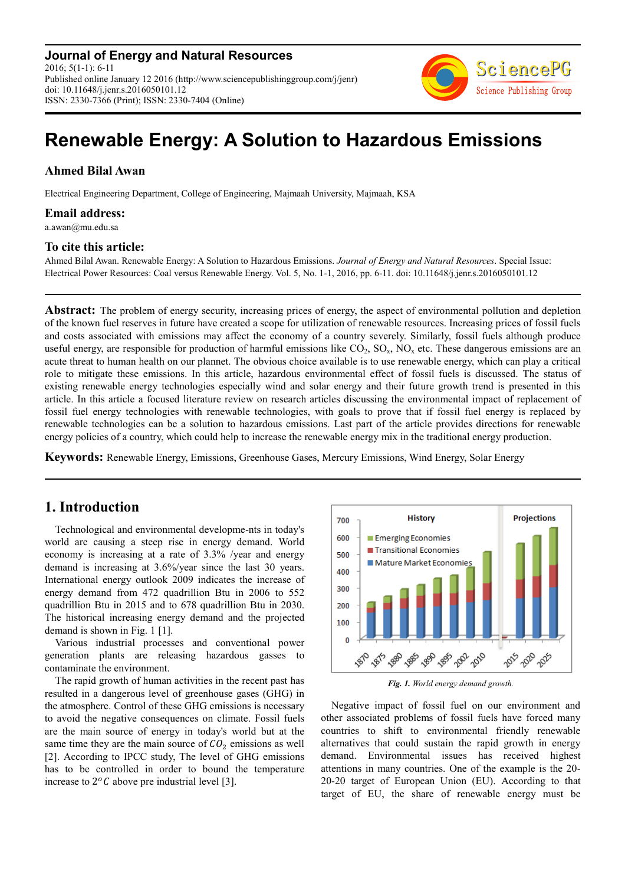**Journal of Energy and Natural Resources** 2016; 5(1-1): 6-11 Published online January 12 2016 (http://www.sciencepublishinggroup.com/j/jenr) doi: 10.11648/j.jenr.s.2016050101.12 ISSN: 2330-7366 (Print); ISSN: 2330-7404 (Online)



# **Renewable Energy: A Solution to Hazardous Emissions**

### **Ahmed Bilal Awan**

Electrical Engineering Department, College of Engineering, Majmaah University, Majmaah, KSA

**Email address:** 

a.awan@mu.edu.sa

#### **To cite this article:**

Ahmed Bilal Awan. Renewable Energy: A Solution to Hazardous Emissions. *Journal of Energy and Natural Resources*. Special Issue: Electrical Power Resources: Coal versus Renewable Energy. Vol. 5, No. 1-1, 2016, pp. 6-11. doi: 10.11648/j.jenr.s.2016050101.12

**Abstract:** The problem of energy security, increasing prices of energy, the aspect of environmental pollution and depletion of the known fuel reserves in future have created a scope for utilization of renewable resources. Increasing prices of fossil fuels and costs associated with emissions may affect the economy of a country severely. Similarly, fossil fuels although produce useful energy, are responsible for production of harmful emissions like  $CO_2$ ,  $SO_x$ ,  $NO_x$  etc. These dangerous emissions are an acute threat to human health on our plannet. The obvious choice available is to use renewable energy, which can play a critical role to mitigate these emissions. In this article, hazardous environmental effect of fossil fuels is discussed. The status of existing renewable energy technologies especially wind and solar energy and their future growth trend is presented in this article. In this article a focused literature review on research articles discussing the environmental impact of replacement of fossil fuel energy technologies with renewable technologies, with goals to prove that if fossil fuel energy is replaced by renewable technologies can be a solution to hazardous emissions. Last part of the article provides directions for renewable energy policies of a country, which could help to increase the renewable energy mix in the traditional energy production.

**Keywords:** Renewable Energy, Emissions, Greenhouse Gases, Mercury Emissions, Wind Energy, Solar Energy

# **1. Introduction**

Technological and environmental developme-nts in today's world are causing a steep rise in energy demand. World economy is increasing at a rate of 3.3% /year and energy demand is increasing at 3.6%/year since the last 30 years. International energy outlook 2009 indicates the increase of energy demand from 472 quadrillion Btu in 2006 to 552 quadrillion Btu in 2015 and to 678 quadrillion Btu in 2030. The historical increasing energy demand and the projected demand is shown in Fig. 1 [1].

Various industrial processes and conventional power generation plants are releasing hazardous gasses to contaminate the environment.

The rapid growth of human activities in the recent past has resulted in a dangerous level of greenhouse gases (GHG) in the atmosphere. Control of these GHG emissions is necessary to avoid the negative consequences on climate. Fossil fuels are the main source of energy in today's world but at the same time they are the main source of  $CO<sub>2</sub>$  emissions as well [2]. According to IPCC study, The level of GHG emissions has to be controlled in order to bound the temperature increase to  $2^{o}C$  above pre industrial level [3].



*Fig. 1. World energy demand growth.* 

Negative impact of fossil fuel on our environment and other associated problems of fossil fuels have forced many countries to shift to environmental friendly renewable alternatives that could sustain the rapid growth in energy demand. Environmental issues has received highest attentions in many countries. One of the example is the 20- 20-20 target of European Union (EU). According to that target of EU, the share of renewable energy must be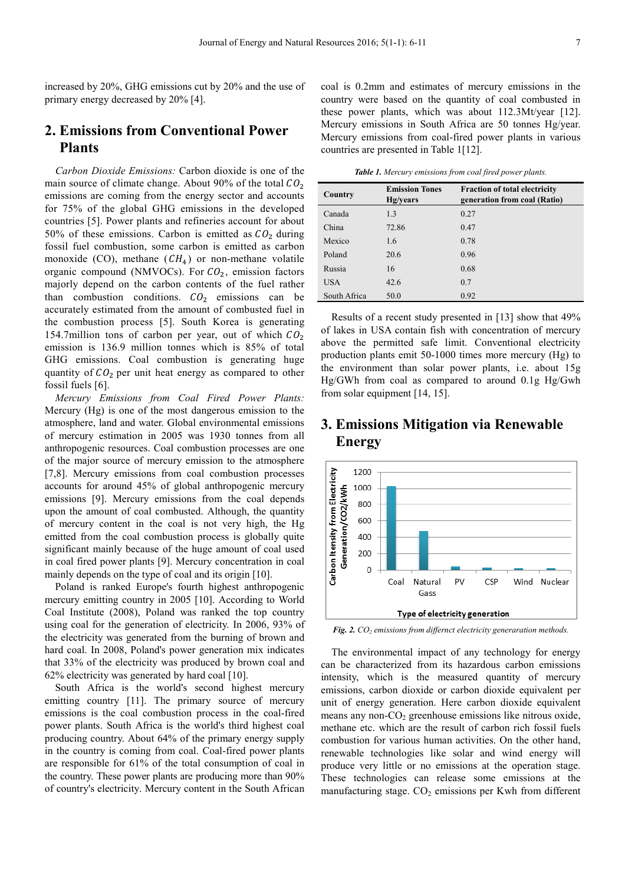increased by 20%, GHG emissions cut by 20% and the use of primary energy decreased by 20% [4].

# **2. Emissions from Conventional Power Plants**

*Carbon Dioxide Emissions:* Carbon dioxide is one of the main source of climate change. About 90% of the total  $CO_2$ emissions are coming from the energy sector and accounts for 75% of the global GHG emissions in the developed countries [5]. Power plants and refineries account for about 50% of these emissions. Carbon is emitted as  $CO<sub>2</sub>$  during fossil fuel combustion, some carbon is emitted as carbon monoxide (CO), methane  $(CH<sub>4</sub>)$  or non-methane volatile organic compound (NMVOCs). For  $CO<sub>2</sub>$ , emission factors majorly depend on the carbon contents of the fuel rather than combustion conditions.  $CO<sub>2</sub>$  emissions can be accurately estimated from the amount of combusted fuel in the combustion process [5]. South Korea is generating 154.7million tons of carbon per year, out of which  $CO<sub>2</sub>$ emission is 136.9 million tonnes which is 85% of total GHG emissions. Coal combustion is generating huge quantity of  $CO<sub>2</sub>$  per unit heat energy as compared to other fossil fuels [6].

*Mercury Emissions from Coal Fired Power Plants:*  Mercury (Hg) is one of the most dangerous emission to the atmosphere, land and water. Global environmental emissions of mercury estimation in 2005 was 1930 tonnes from all anthropogenic resources. Coal combustion processes are one of the major source of mercury emission to the atmosphere [7,8]. Mercury emissions from coal combustion processes accounts for around 45% of global anthropogenic mercury emissions [9]. Mercury emissions from the coal depends upon the amount of coal combusted. Although, the quantity of mercury content in the coal is not very high, the Hg emitted from the coal combustion process is globally quite significant mainly because of the huge amount of coal used in coal fired power plants [9]. Mercury concentration in coal mainly depends on the type of coal and its origin [10].

Poland is ranked Europe's fourth highest anthropogenic mercury emitting country in 2005 [10]. According to World Coal Institute (2008), Poland was ranked the top country using coal for the generation of electricity. In 2006, 93% of the electricity was generated from the burning of brown and hard coal. In 2008, Poland's power generation mix indicates that 33% of the electricity was produced by brown coal and 62% electricity was generated by hard coal [10].

South Africa is the world's second highest mercury emitting country [11]. The primary source of mercury emissions is the coal combustion process in the coal-fired power plants. South Africa is the world's third highest coal producing country. About 64% of the primary energy supply in the country is coming from coal. Coal-fired power plants are responsible for 61% of the total consumption of coal in the country. These power plants are producing more than 90% of country's electricity. Mercury content in the South African

coal is 0.2mm and estimates of mercury emissions in the country were based on the quantity of coal combusted in these power plants, which was about 112.3Mt/year [12]. Mercury emissions in South Africa are 50 tonnes Hg/year. Mercury emissions from coal-fired power plants in various countries are presented in Table 1[12].

*Table 1. Mercury emissions from coal fired power plants.* 

| Country      | <b>Emission Tones</b><br>Hg/years | <b>Fraction of total electricity</b><br>generation from coal (Ratio) |  |  |
|--------------|-----------------------------------|----------------------------------------------------------------------|--|--|
| Canada       | 1.3                               | 0.27                                                                 |  |  |
| China        | 72.86                             | 0.47                                                                 |  |  |
| Mexico       | 1.6                               | 0.78                                                                 |  |  |
| Poland       | 20.6                              | 0.96                                                                 |  |  |
| Russia       | 16                                | 0.68                                                                 |  |  |
| <b>USA</b>   | 42.6                              | 0.7                                                                  |  |  |
| South Africa | 50.0                              | 0.92                                                                 |  |  |

Results of a recent study presented in [13] show that 49% of lakes in USA contain fish with concentration of mercury above the permitted safe limit. Conventional electricity production plants emit 50-1000 times more mercury (Hg) to the environment than solar power plants, i.e. about 15g Hg/GWh from coal as compared to around 0.1g Hg/Gwh from solar equipment [14, 15].

# **3. Emissions Mitigation via Renewable Energy**



*Fig. 2. CO2 emissions from differnct electricity generaration methods.* 

The environmental impact of any technology for energy can be characterized from its hazardous carbon emissions intensity, which is the measured quantity of mercury emissions, carbon dioxide or carbon dioxide equivalent per unit of energy generation. Here carbon dioxide equivalent means any non- $CO<sub>2</sub>$  greenhouse emissions like nitrous oxide, methane etc. which are the result of carbon rich fossil fuels combustion for various human activities. On the other hand, renewable technologies like solar and wind energy will produce very little or no emissions at the operation stage. These technologies can release some emissions at the manufacturing stage.  $CO<sub>2</sub>$  emissions per Kwh from different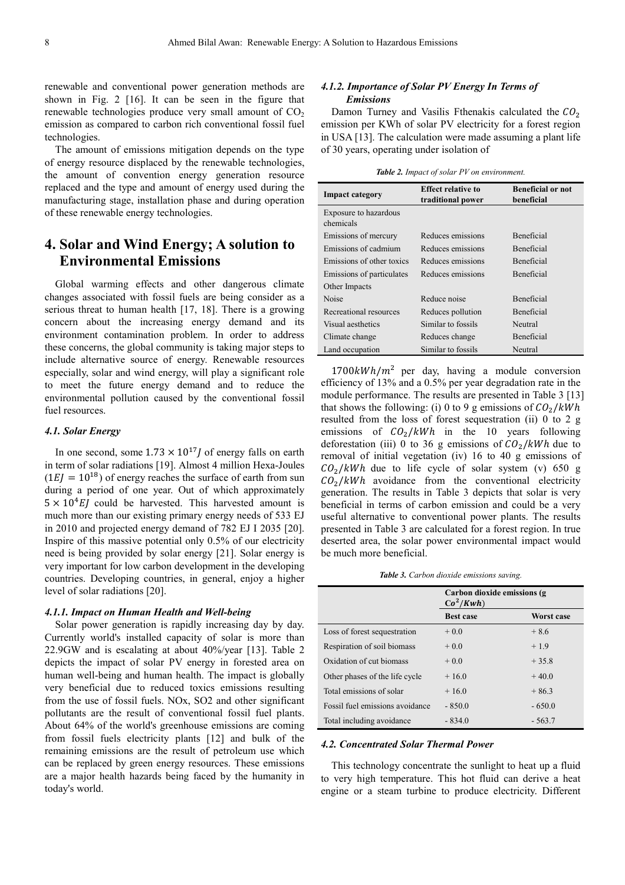renewable and conventional power generation methods are shown in Fig. 2 [16]. It can be seen in the figure that renewable technologies produce very small amount of  $CO<sub>2</sub>$ emission as compared to carbon rich conventional fossil fuel technologies.

The amount of emissions mitigation depends on the type of energy resource displaced by the renewable technologies, the amount of convention energy generation resource replaced and the type and amount of energy used during the manufacturing stage, installation phase and during operation of these renewable energy technologies.

# **4. Solar and Wind Energy; A solution to Environmental Emissions**

Global warming effects and other dangerous climate changes associated with fossil fuels are being consider as a serious threat to human health [17, 18]. There is a growing concern about the increasing energy demand and its environment contamination problem. In order to address these concerns, the global community is taking major steps to include alternative source of energy. Renewable resources especially, solar and wind energy, will play a significant role to meet the future energy demand and to reduce the environmental pollution caused by the conventional fossil fuel resources.

#### *4.1. Solar Energy*

In one second, some  $1.73 \times 10^{17}$  of energy falls on earth in term of solar radiations [19]. Almost 4 million Hexa-Joules  $(1 EJ = 10^{18})$  of energy reaches the surface of earth from sun during a period of one year. Out of which approximately  $5 \times 10^4$  EJ could be harvested. This harvested amount is much more than our existing primary energy needs of 533 EJ in 2010 and projected energy demand of 782 EJ I 2035 [20]. Inspire of this massive potential only 0.5% of our electricity need is being provided by solar energy [21]. Solar energy is very important for low carbon development in the developing countries. Developing countries, in general, enjoy a higher level of solar radiations [20].

#### *4.1.1. Impact on Human Health and Well-being*

Solar power generation is rapidly increasing day by day. Currently world's installed capacity of solar is more than 22.9GW and is escalating at about 40%/year [13]. Table 2 depicts the impact of solar PV energy in forested area on human well-being and human health. The impact is globally very beneficial due to reduced toxics emissions resulting from the use of fossil fuels. NOx, SO2 and other significant pollutants are the result of conventional fossil fuel plants. About 64% of the world's greenhouse emissions are coming from fossil fuels electricity plants [12] and bulk of the remaining emissions are the result of petroleum use which can be replaced by green energy resources. These emissions are a major health hazards being faced by the humanity in today's world.

#### *4.1.2. Importance of Solar PV Energy In Terms of Emissions*

Damon Turney and Vasilis Fthenakis calculated the  $CO<sub>2</sub>$ emission per KWh of solar PV electricity for a forest region in USA [13]. The calculation were made assuming a plant life of 30 years, operating under isolation of

|  |  |  |  | <b>Table 2.</b> Impact of solar PV on environment. |
|--|--|--|--|----------------------------------------------------|
|--|--|--|--|----------------------------------------------------|

| <b>Impact category</b>             | <b>Effect relative to</b><br>traditional power | <b>Beneficial or not</b><br>beneficial |
|------------------------------------|------------------------------------------------|----------------------------------------|
| Exposure to hazardous<br>chemicals |                                                |                                        |
| Emissions of mercury               | Reduces emissions                              | <b>Beneficial</b>                      |
| Emissions of cadmium               | Reduces emissions                              | <b>Beneficial</b>                      |
| Emissions of other toxics          | Reduces emissions                              | <b>Beneficial</b>                      |
| Emissions of particulates          | Reduces emissions                              | <b>Beneficial</b>                      |
| Other Impacts                      |                                                |                                        |
| Noise                              | Reduce noise                                   | <b>Beneficial</b>                      |
| Recreational resources             | <b>Beneficial</b><br>Reduces pollution         |                                        |
| Visual aesthetics                  | Similar to fossils                             | Neutral                                |
| Climate change                     | Reduces change                                 | <b>Beneficial</b>                      |
| Land occupation                    | Similar to fossils                             | Neutral                                |

 $1700 kWh/m<sup>2</sup>$  per day, having a module conversion efficiency of 13% and a 0.5% per year degradation rate in the module performance. The results are presented in Table 3 [13] that shows the following: (i) 0 to 9 g emissions of  $CO_2/kWh$ resulted from the loss of forest sequestration (ii) 0 to 2 g emissions of  $CO_2/kWh$  in the 10 years following deforestation (iii) 0 to 36 g emissions of  $CO_2/kWh$  due to removal of initial vegetation (iv) 16 to 40 g emissions of  $CO<sub>2</sub>/kWh$  due to life cycle of solar system (v) 650 g  $CO<sub>2</sub>/kWh$  avoidance from the conventional electricity generation. The results in Table 3 depicts that solar is very beneficial in terms of carbon emission and could be a very useful alternative to conventional power plants. The results presented in Table 3 are calculated for a forest region. In true deserted area, the solar power environmental impact would be much more beneficial.

*Table 3. Carbon dioxide emissions saving.* 

|                                 | Carbon dioxide emissions (g)<br>$Co^2/Kwh$ |            |  |
|---------------------------------|--------------------------------------------|------------|--|
|                                 | <b>Best case</b>                           | Worst case |  |
| Loss of forest sequestration    | $+0.0$                                     | $+8.6$     |  |
| Respiration of soil biomass     | $+0.0$                                     | $+1.9$     |  |
| Oxidation of cut biomass        | $+0.0$                                     | $+35.8$    |  |
| Other phases of the life cycle  | $+16.0$                                    | $+40.0$    |  |
| Total emissions of solar        | $+16.0$                                    | $+86.3$    |  |
| Fossil fuel emissions avoidance | $-850.0$                                   | $-650.0$   |  |
| Total including avoidance       | $-834.0$                                   | $-563.7$   |  |

#### *4.2. Concentrated Solar Thermal Power*

This technology concentrate the sunlight to heat up a fluid to very high temperature. This hot fluid can derive a heat engine or a steam turbine to produce electricity. Different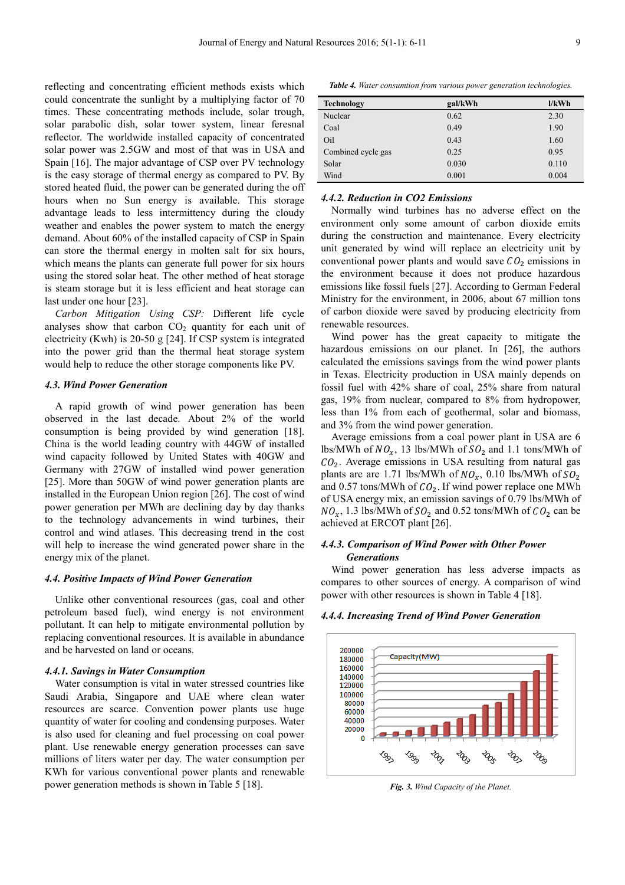reflecting and concentrating efficient methods exists which could concentrate the sunlight by a multiplying factor of 70 times. These concentrating methods include, solar trough, solar parabolic dish, solar tower system, linear feresnal reflector. The worldwide installed capacity of concentrated solar power was 2.5GW and most of that was in USA and Spain [16]. The major advantage of CSP over PV technology is the easy storage of thermal energy as compared to PV. By stored heated fluid, the power can be generated during the off hours when no Sun energy is available. This storage advantage leads to less intermittency during the cloudy weather and enables the power system to match the energy demand. About 60% of the installed capacity of CSP in Spain can store the thermal energy in molten salt for six hours, which means the plants can generate full power for six hours using the stored solar heat. The other method of heat storage is steam storage but it is less efficient and heat storage can last under one hour [23].

*Carbon Mitigation Using CSP:* Different life cycle analyses show that carbon  $CO<sub>2</sub>$  quantity for each unit of electricity (Kwh) is 20-50 g [24]. If CSP system is integrated into the power grid than the thermal heat storage system would help to reduce the other storage components like PV.

#### *4.3. Wind Power Generation*

A rapid growth of wind power generation has been observed in the last decade. About 2% of the world consumption is being provided by wind generation [18]. China is the world leading country with 44GW of installed wind capacity followed by United States with 40GW and Germany with 27GW of installed wind power generation [25]. More than 50GW of wind power generation plants are installed in the European Union region [26]. The cost of wind power generation per MWh are declining day by day thanks to the technology advancements in wind turbines, their control and wind atlases. This decreasing trend in the cost will help to increase the wind generated power share in the energy mix of the planet.

#### *4.4. Positive Impacts of Wind Power Generation*

Unlike other conventional resources (gas, coal and other petroleum based fuel), wind energy is not environment pollutant. It can help to mitigate environmental pollution by replacing conventional resources. It is available in abundance and be harvested on land or oceans.

#### *4.4.1. Savings in Water Consumption*

Water consumption is vital in water stressed countries like Saudi Arabia, Singapore and UAE where clean water resources are scarce. Convention power plants use huge quantity of water for cooling and condensing purposes. Water is also used for cleaning and fuel processing on coal power plant. Use renewable energy generation processes can save millions of liters water per day. The water consumption per KWh for various conventional power plants and renewable power generation methods is shown in Table 5 [18].

*Table 4. Water consumtion from various power generation technologies.* 

| <b>Technology</b>  | gal/kWh | 1/kWh |
|--------------------|---------|-------|
| Nuclear            | 0.62    | 2.30  |
| Coal               | 0.49    | 1.90  |
| Oil                | 0.43    | 1.60  |
| Combined cycle gas | 0.25    | 0.95  |
| Solar              | 0.030   | 0.110 |
| Wind               | 0.001   | 0.004 |

#### *4.4.2. Reduction in CO2 Emissions*

Normally wind turbines has no adverse effect on the environment only some amount of carbon dioxide emits during the construction and maintenance. Every electricity unit generated by wind will replace an electricity unit by conventional power plants and would save  $CO<sub>2</sub>$  emissions in the environment because it does not produce hazardous emissions like fossil fuels [27]. According to German Federal Ministry for the environment, in 2006, about 67 million tons of carbon dioxide were saved by producing electricity from renewable resources.

Wind power has the great capacity to mitigate the hazardous emissions on our planet. In [26], the authors calculated the emissions savings from the wind power plants in Texas. Electricity production in USA mainly depends on fossil fuel with 42% share of coal, 25% share from natural gas, 19% from nuclear, compared to 8% from hydropower, less than 1% from each of geothermal, solar and biomass, and 3% from the wind power generation.

Average emissions from a coal power plant in USA are 6 lbs/MWh of  $NO_x$ , 13 lbs/MWh of  $SO_2$  and 1.1 tons/MWh of  $CO<sub>2</sub>$ . Average emissions in USA resulting from natural gas plants are are 1.71 lbs/MWh of  $NO_x$ , 0.10 lbs/MWh of  $SO_2$ and 0.57 tons/MWh of  $CO<sub>2</sub>$ . If wind power replace one MWh of USA energy mix, an emission savings of 0.79 lbs/MWh of  $NO_x$ , 1.3 lbs/MWh of  $SO_2$  and 0.52 tons/MWh of  $CO_2$  can be achieved at ERCOT plant [26].

#### *4.4.3. Comparison of Wind Power with Other Power Generations*

Wind power generation has less adverse impacts as compares to other sources of energy. A comparison of wind power with other resources is shown in Table 4 [18].



*4.4.4. Increasing Trend of Wind Power Generation* 

*Fig. 3. Wind Capacity of the Planet.*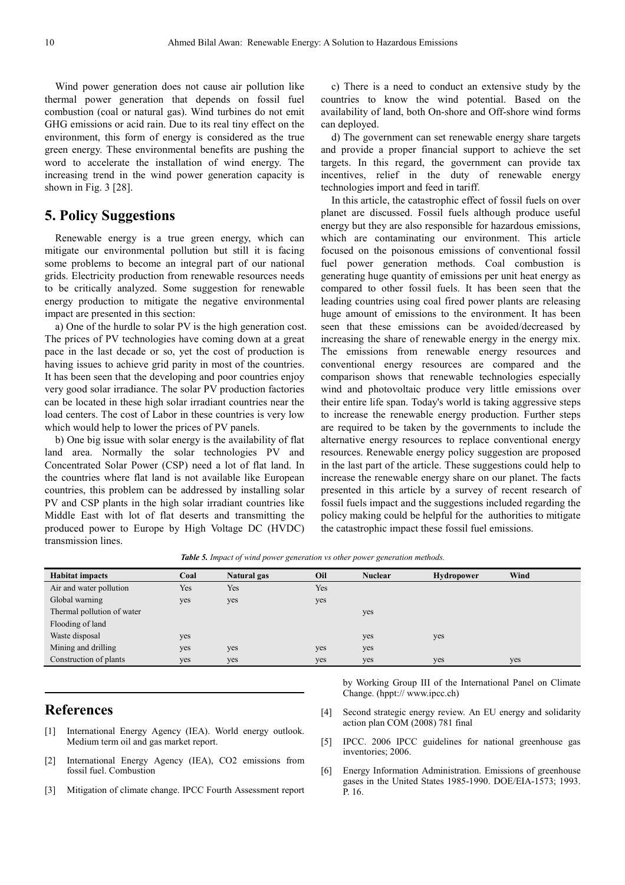Wind power generation does not cause air pollution like thermal power generation that depends on fossil fuel combustion (coal or natural gas). Wind turbines do not emit GHG emissions or acid rain. Due to its real tiny effect on the environment, this form of energy is considered as the true green energy. These environmental benefits are pushing the word to accelerate the installation of wind energy. The increasing trend in the wind power generation capacity is shown in Fig. 3 [28].

## **5. Policy Suggestions**

Renewable energy is a true green energy, which can mitigate our environmental pollution but still it is facing some problems to become an integral part of our national grids. Electricity production from renewable resources needs to be critically analyzed. Some suggestion for renewable energy production to mitigate the negative environmental impact are presented in this section:

a) One of the hurdle to solar PV is the high generation cost. The prices of PV technologies have coming down at a great pace in the last decade or so, yet the cost of production is having issues to achieve grid parity in most of the countries. It has been seen that the developing and poor countries enjoy very good solar irradiance. The solar PV production factories can be located in these high solar irradiant countries near the load centers. The cost of Labor in these countries is very low which would help to lower the prices of PV panels.

b) One big issue with solar energy is the availability of flat land area. Normally the solar technologies PV and Concentrated Solar Power (CSP) need a lot of flat land. In the countries where flat land is not available like European countries, this problem can be addressed by installing solar PV and CSP plants in the high solar irradiant countries like Middle East with lot of flat deserts and transmitting the produced power to Europe by High Voltage DC (HVDC) transmission lines.

c) There is a need to conduct an extensive study by the countries to know the wind potential. Based on the availability of land, both On-shore and Off-shore wind forms can deployed.

d) The government can set renewable energy share targets and provide a proper financial support to achieve the set targets. In this regard, the government can provide tax incentives, relief in the duty of renewable energy technologies import and feed in tariff.

In this article, the catastrophic effect of fossil fuels on over planet are discussed. Fossil fuels although produce useful energy but they are also responsible for hazardous emissions, which are contaminating our environment. This article focused on the poisonous emissions of conventional fossil fuel power generation methods. Coal combustion is generating huge quantity of emissions per unit heat energy as compared to other fossil fuels. It has been seen that the leading countries using coal fired power plants are releasing huge amount of emissions to the environment. It has been seen that these emissions can be avoided/decreased by increasing the share of renewable energy in the energy mix. The emissions from renewable energy resources and conventional energy resources are compared and the comparison shows that renewable technologies especially wind and photovoltaic produce very little emissions over their entire life span. Today's world is taking aggressive steps to increase the renewable energy production. Further steps are required to be taken by the governments to include the alternative energy resources to replace conventional energy resources. Renewable energy policy suggestion are proposed in the last part of the article. These suggestions could help to increase the renewable energy share on our planet. The facts presented in this article by a survey of recent research of fossil fuels impact and the suggestions included regarding the policy making could be helpful for the authorities to mitigate the catastrophic impact these fossil fuel emissions.

*Table 5. Impact of wind power generation vs other power generation methods.* 

| <b>Habitat impacts</b>     | Coal | Natural gas | Oil | <b>Nuclear</b> | <b>Hydropower</b> | Wind |
|----------------------------|------|-------------|-----|----------------|-------------------|------|
| Air and water pollution    | Yes  | Yes         | Yes |                |                   |      |
| Global warning             | yes  | yes         | yes |                |                   |      |
| Thermal pollution of water |      |             |     | yes            |                   |      |
| Flooding of land           |      |             |     |                |                   |      |
| Waste disposal             | yes  |             |     | yes            | yes               |      |
| Mining and drilling        | yes  | yes         | yes | yes            |                   |      |
| Construction of plants     | yes  | yes         | yes | yes            | yes               | yes  |
|                            |      |             |     |                |                   |      |

### **References**

- [1] International Energy Agency (IEA). World energy outlook. Medium term oil and gas market report.
- [2] International Energy Agency (IEA), CO2 emissions from fossil fuel. Combustion
- [3] Mitigation of climate change. IPCC Fourth Assessment report

by Working Group III of the International Panel on Climate Change. (hppt:// www.ipcc.ch)

- [4] Second strategic energy review. An EU energy and solidarity action plan COM (2008) 781 final
- [5] IPCC. 2006 IPCC guidelines for national greenhouse gas inventories; 2006.
- [6] Energy Information Administration. Emissions of greenhouse gases in the United States 1985-1990. DOE/EIA-1573; 1993. P. 16.